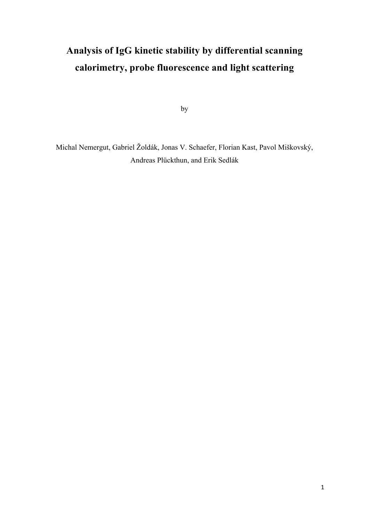## **Analysis of IgG kinetic stability by differential scanning calorimetry, probe fluorescence and light scattering**

by

Michal Nemergut, Gabriel Žoldák, Jonas V. Schaefer, Florian Kast, Pavol Miškovský, Andreas Plückthun, and Erik Sedlák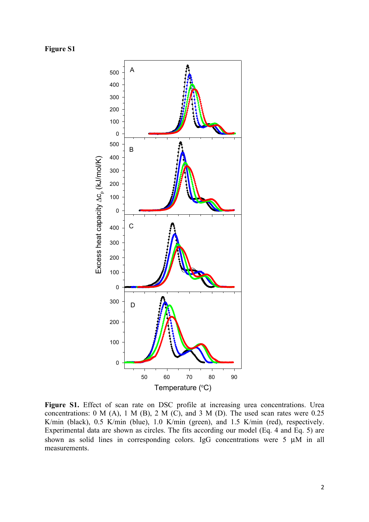

Figure S1. Effect of scan rate on DSC profile at increasing urea concentrations. Urea concentrations:  $0 \text{ M (A), 1 M (B), 2 M (C), and 3 M (D).}$  The used scan rates were 0.25 K/min (black), 0.5 K/min (blue), 1.0 K/min (green), and 1.5 K/min (red), respectively. Experimental data are shown as circles. The fits according our model (Eq. 4 and Eq. 5) are shown as solid lines in corresponding colors. IgG concentrations were 5  $\mu$ M in all measurements.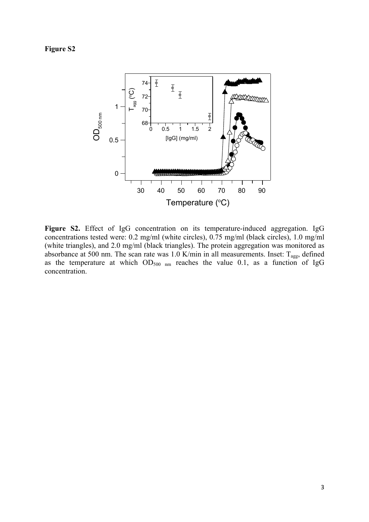

**Figure S2.** Effect of IgG concentration on its temperature-induced aggregation. IgG concentrations tested were: 0.2 mg/ml (white circles), 0.75 mg/ml (black circles), 1.0 mg/ml (white triangles), and 2.0 mg/ml (black triangles). The protein aggregation was monitored as absorbance at 500 nm. The scan rate was  $1.0$  K/min in all measurements. Inset:  $T_{\text{agg}}$ , defined as the temperature at which  $OD_{500 \text{ nm}}$  reaches the value 0.1, as a function of IgG concentration.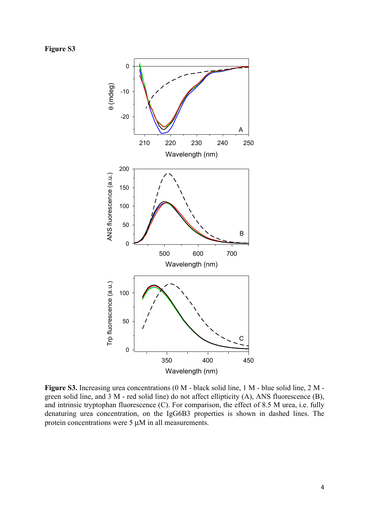**Figure S3**



**Figure S3.** Increasing urea concentrations (0 M - black solid line, 1 M - blue solid line, 2 M green solid line, and 3 M - red solid line) do not affect ellipticity (A), ANS fluorescence (B), and intrinsic tryptophan fluorescence (C). For comparison, the effect of 8.5 M urea, i.e. fully denaturing urea concentration, on the IgG6B3 properties is shown in dashed lines. The protein concentrations were 5 µM in all measurements.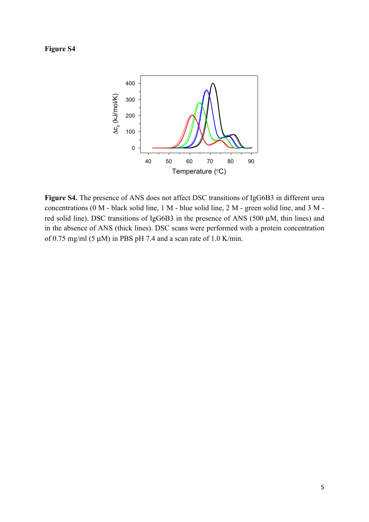**Figure S4**



**Figure S4.** The presence of ANS does not affect DSC transitions of IgG6B3 in different urea concentrations (0 M - black solid line, 1 M - blue solid line, 2 M - green solid line, and 3 M red solid line). DSC transitions of IgG6B3 in the presence of ANS (500 µM, thin lines) and in the absence of ANS (thick lines). DSC scans were performed with a protein concentration of 0.75 mg/ml (5  $\mu$ M) in PBS pH 7.4 and a scan rate of 1.0 K/min.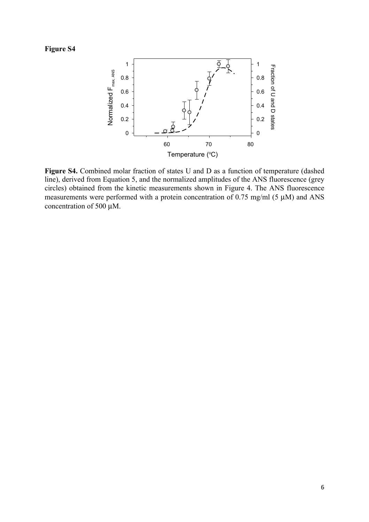

**Figure S4.** Combined molar fraction of states U and D as a function of temperature (dashed line), derived from Equation 5, and the normalized amplitudes of the ANS fluorescence (grey circles) obtained from the kinetic measurements shown in Figure 4. The ANS fluorescence measurements were performed with a protein concentration of 0.75 mg/ml (5 µM) and ANS concentration of 500 µM.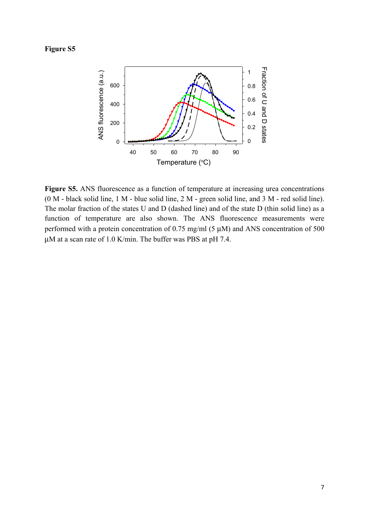

Figure S5. ANS fluorescence as a function of temperature at increasing urea concentrations (0 M - black solid line, 1 M - blue solid line, 2 M - green solid line, and 3 M - red solid line). The molar fraction of the states U and D (dashed line) and of the state D (thin solid line) as a function of temperature are also shown. The ANS fluorescence measurements were performed with a protein concentration of 0.75 mg/ml  $(5 \mu M)$  and ANS concentration of 500 µM at a scan rate of 1.0 K/min. The buffer was PBS at pH 7.4.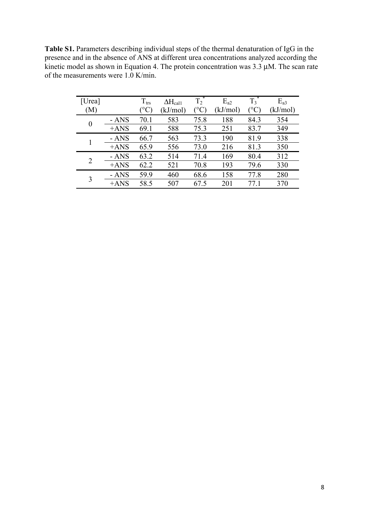**Table S1.** Parameters describing individual steps of the thermal denaturation of IgG in the presence and in the absence of ANS at different urea concentrations analyzed according the kinetic model as shown in Equation 4. The protein concentration was 3.3 µM. The scan rate of the measurements were 1.0 K/min.

| [Urea]         |        | $T_{\rm trs}$ | $\Delta H_{\rm{cal1}}$ | $T_2^*$     | $E_{a2}$ | $\overline{T_3}^*$ | $E_{a3}$ |
|----------------|--------|---------------|------------------------|-------------|----------|--------------------|----------|
| M)             |        | $^{\circ}C$   | kJ/mol)                | $^{\circ}C$ | (kJ/mol) | $^\circ{\rm C}$    | (kJ/mol) |
| $\overline{0}$ | - ANS  | 70.1          | 583                    | 75.8        | 188      | 84.3               | 354      |
|                | $+ANS$ | 69.1          | 588                    | 75.3        | 251      | 83.7               | 349      |
|                | - ANS  | 66.7          | 563                    | 73.3        | 190      | 81.9               | 338      |
|                | $+ANS$ | 65.9          | 556                    | 73.0        | 216      | 81.3               | 350      |
| 2              | - ANS  | 63.2          | 514                    | 71.4        | 169      | 80.4               | 312      |
|                | $+ANS$ | 62.2          | 521                    | 70.8        | 193      | 79.6               | 330      |
| 3              | - ANS  | 59.9          | 460                    | 68.6        | 158      | 77.8               | 280      |
|                | $+ANS$ | 58.5          | 507                    | 67.5        | 201      | 77 1               | 370      |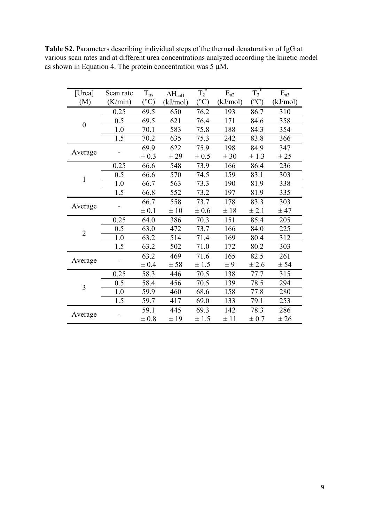| [Urea]           | Scan rate | $T_{\rm trs}$ | $\Delta H_{cal1}$ | $T_2^*$         | $E_{a2}$ | $T_3^*$         | $E_{a3}$ |
|------------------|-----------|---------------|-------------------|-----------------|----------|-----------------|----------|
| (M)              | (K/min)   | $(^{\circ}C)$ | (kJ/mol)          | $({}^{\circ}C)$ | (kJ/mol) | $({}^{\circ}C)$ | (kJ/mol) |
|                  | 0.25      | 69.5          | 650               | 76.2            | 193      | 86.7            | 310      |
| $\boldsymbol{0}$ | 0.5       | 69.5          | 621               | 76.4            | 171      | 84.6            | 358      |
|                  | 1.0       | 70.1          | 583               | 75.8            | 188      | 84.3            | 354      |
|                  | 1.5       | 70.2          | 635               | 75.3            | 242      | 83.8            | 366      |
|                  |           | 69.9          | 622               | 75.9            | 198      | 84.9            | 347      |
| Average          |           | $\pm 0.3$     | ± 29              | $\pm 0.5$       | ± 30     | $\pm$ 1.3       | ± 25     |
|                  | 0.25      | 66.6          | 548               | 73.9            | 166      | 86.4            | 236      |
| $\mathbf{1}$     | 0.5       | 66.6          | 570               | 74.5            | 159      | 83.1            | 303      |
|                  | 1.0       | 66.7          | 563               | 73.3            | 190      | 81.9            | 338      |
|                  | 1.5       | 66.8          | 552               | 73.2            | 197      | 81.9            | 335      |
|                  |           | 66.7          | 558               | 73.7            | 178      | 83.3            | 303      |
| Average          |           | $\pm 0.1$     | $\pm 10$          | $\pm$ 0.6       | ±18      | $\pm 2.1$       | ± 47     |
|                  | 0.25      | 64.0          | 386               | 70.3            | 151      | 85.4            | 205      |
| $\overline{2}$   | 0.5       | 63.0          | 472               | 73.7            | 166      | 84.0            | 225      |
|                  | 1.0       | 63.2          | 514               | 71.4            | 169      | 80.4            | 312      |
|                  | 1.5       | 63.2          | 502               | 71.0            | 172      | 80.2            | 303      |
|                  |           | 63.2          | 469               | 71.6            | 165      | 82.5            | 261      |
| Average          |           | $\pm 0.4$     | ± 58              | $\pm$ 1.5       | $\pm 9$  | ± 2.6           | ± 54     |
|                  | 0.25      | 58.3          | 446               | 70.5            | 138      | 77.7            | 315      |
| $\overline{3}$   | 0.5       | 58.4          | 456               | 70.5            | 139      | 78.5            | 294      |
|                  | 1.0       | 59.9          | 460               | 68.6            | 158      | 77.8            | 280      |
|                  | 1.5       | 59.7          | 417               | 69.0            | 133      | 79.1            | 253      |
|                  |           | 59.1          | 445               | 69.3            | 142      | 78.3            | 286      |
| Average          |           | $\pm 0.8$     | ±19               | ± 1.5           | ±11      | $\pm 0.7$       | ± 26     |

**Table S2.** Parameters describing individual steps of the thermal denaturation of IgG at various scan rates and at different urea concentrations analyzed according the kinetic model as shown in Equation 4. The protein concentration was  $5 \mu M$ .